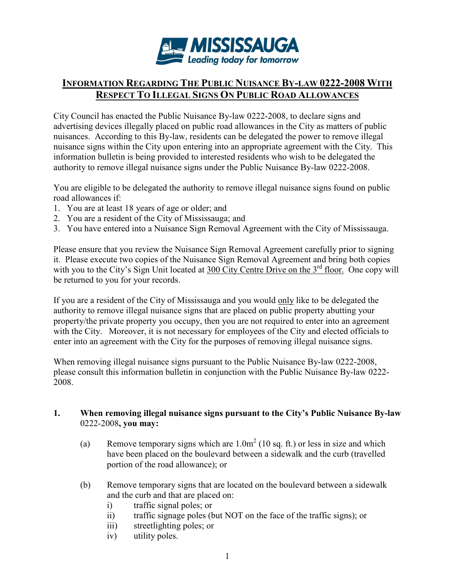

# INFORMATION REGARDING THE PUBLIC NUISANCE BY-LAW 0222-2008 WITH RESPECT TO ILLEGAL SIGNS ON PUBLIC ROAD ALLOWANCES

City Council has enacted the Public Nuisance By-law 0222-2008, to declare signs and advertising devices illegally placed on public road allowances in the City as matters of public nuisances. According to this By-law, residents can be delegated the power to remove illegal nuisance signs within the City upon entering into an appropriate agreement with the City. This information bulletin is being provided to interested residents who wish to be delegated the authority to remove illegal nuisance signs under the Public Nuisance By-law 0222-2008.

You are eligible to be delegated the authority to remove illegal nuisance signs found on public road allowances if:

- 1. You are at least 18 years of age or older; and
- 2. You are a resident of the City of Mississauga; and
- 3. You have entered into a Nuisance Sign Removal Agreement with the City of Mississauga.

Please ensure that you review the Nuisance Sign Removal Agreement carefully prior to signing it. Please execute two copies of the Nuisance Sign Removal Agreement and bring both copies with you to the City's Sign Unit located at 300 City Centre Drive on the 3<sup>rd</sup> floor. One copy will be returned to you for your records.

If you are a resident of the City of Mississauga and you would only like to be delegated the authority to remove illegal nuisance signs that are placed on public property abutting your property/the private property you occupy, then you are not required to enter into an agreement with the City. Moreover, it is not necessary for employees of the City and elected officials to enter into an agreement with the City for the purposes of removing illegal nuisance signs.

When removing illegal nuisance signs pursuant to the Public Nuisance By-law 0222-2008, please consult this information bulletin in conjunction with the Public Nuisance By-law 0222- 2008.

#### 1. When removing illegal nuisance signs pursuant to the City's Public Nuisance By-law 0222-2008, you may:

- (a) Remove temporary signs which are  $1.0 \text{m}^2$  (10 sq. ft.) or less in size and which have been placed on the boulevard between a sidewalk and the curb (travelled portion of the road allowance); or
- (b) Remove temporary signs that are located on the boulevard between a sidewalk and the curb and that are placed on:
	- i) traffic signal poles; or
	- ii) traffic signage poles (but NOT on the face of the traffic signs); or
	- iii) streetlighting poles; or
	- iv) utility poles.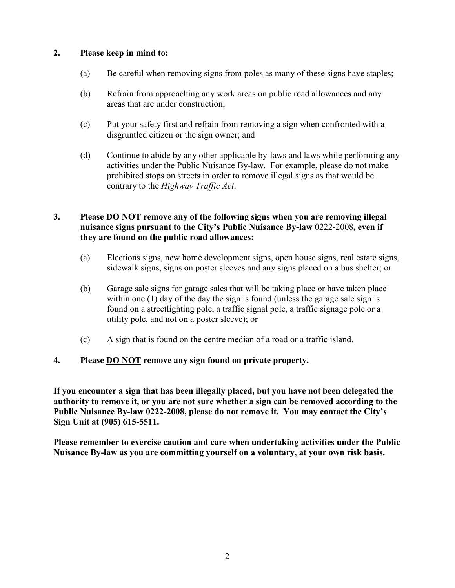## 2. Please keep in mind to:

- (a) Be careful when removing signs from poles as many of these signs have staples;
- (b) Refrain from approaching any work areas on public road allowances and any areas that are under construction;
- (c) Put your safety first and refrain from removing a sign when confronted with a disgruntled citizen or the sign owner; and
- (d) Continue to abide by any other applicable by-laws and laws while performing any activities under the Public Nuisance By-law. For example, please do not make prohibited stops on streets in order to remove illegal signs as that would be contrary to the Highway Traffic Act.

## 3. Please DO NOT remove any of the following signs when you are removing illegal nuisance signs pursuant to the City's Public Nuisance By-law 0222-2008, even if they are found on the public road allowances:

- (a) Elections signs, new home development signs, open house signs, real estate signs, sidewalk signs, signs on poster sleeves and any signs placed on a bus shelter; or
- (b) Garage sale signs for garage sales that will be taking place or have taken place within one (1) day of the day the sign is found (unless the garage sale sign is found on a streetlighting pole, a traffic signal pole, a traffic signage pole or a utility pole, and not on a poster sleeve); or
- (c) A sign that is found on the centre median of a road or a traffic island.

## 4. Please DO NOT remove any sign found on private property.

If you encounter a sign that has been illegally placed, but you have not been delegated the authority to remove it, or you are not sure whether a sign can be removed according to the Public Nuisance By-law 0222-2008, please do not remove it. You may contact the City's Sign Unit at (905) 615-5511.

Please remember to exercise caution and care when undertaking activities under the Public Nuisance By-law as you are committing yourself on a voluntary, at your own risk basis.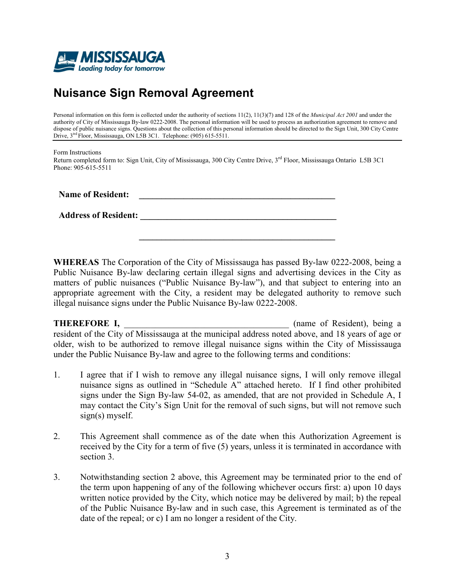

# Nuisance Sign Removal Agreement

Personal information on this form is collected under the authority of sections 11(2), 11(3)(7) and 128 of the *Municipal Act 2001* and under the authority of City of Mississauga By-law 0222-2008. The personal information will be used to process an authorization agreement to remove and dispose of public nuisance signs. Questions about the collection of this personal information should be directed to the Sign Unit, 300 City Centre Drive, 3<sup>trd</sup> Floor, Mississauga, ON L5B 3C1. Telephone: (905) 615-5511.

Form Instructions

Return completed form to: Sign Unit, City of Mississauga, 300 City Centre Drive, 3<sup>rd</sup> Floor, Mississauga Ontario L5B 3C1 Phone: 905-615-5511

Name of Resident:

Address of Resident: \_\_\_\_\_\_\_\_\_\_\_\_\_\_\_\_\_\_\_\_\_\_\_\_\_\_\_\_\_\_\_\_\_\_\_\_\_\_\_\_\_\_\_\_

WHEREAS The Corporation of the City of Mississauga has passed By-law 0222-2008, being a Public Nuisance By-law declaring certain illegal signs and advertising devices in the City as matters of public nuisances ("Public Nuisance By-law"), and that subject to entering into an appropriate agreement with the City, a resident may be delegated authority to remove such illegal nuisance signs under the Public Nuisance By-law 0222-2008.  $\mathcal{L} = \mathcal{L} \mathcal{L} = \mathcal{L} \mathcal{L} = \mathcal{L} \mathcal{L} \mathcal{L} = \mathcal{L} \mathcal{L} = \mathcal{L} \mathcal{L} = \mathcal{L} \mathcal{L} = \mathcal{L} \mathcal{L} = \mathcal{L} \mathcal{L} = \mathcal{L} \mathcal{L} = \mathcal{L} \mathcal{L} = \mathcal{L} \mathcal{L} = \mathcal{L} \mathcal{L} = \mathcal{L} \mathcal{L} = \mathcal{L} \mathcal{L} = \mathcal{L} \mathcal{L} = \mathcal{L} \mathcal{L}$ 

\_\_\_\_\_\_\_\_\_\_\_\_\_\_\_\_\_\_\_\_\_\_\_\_\_\_\_\_\_\_\_\_\_\_\_\_\_\_\_\_\_\_\_\_

THEREFORE I, the contract of Resident), being a series of Resident), being a series of Resident resident of the City of Mississauga at the municipal address noted above, and 18 years of age or older, wish to be authorized to remove illegal nuisance signs within the City of Mississauga under the Public Nuisance By-law and agree to the following terms and conditions:

- 1. I agree that if I wish to remove any illegal nuisance signs, I will only remove illegal nuisance signs as outlined in "Schedule A" attached hereto. If I find other prohibited signs under the Sign By-law 54-02, as amended, that are not provided in Schedule A, I may contact the City's Sign Unit for the removal of such signs, but will not remove such sign(s) myself.
- 2. This Agreement shall commence as of the date when this Authorization Agreement is received by the City for a term of five (5) years, unless it is terminated in accordance with section 3.
- 3. Notwithstanding section 2 above, this Agreement may be terminated prior to the end of the term upon happening of any of the following whichever occurs first: a) upon 10 days written notice provided by the City, which notice may be delivered by mail; b) the repeal of the Public Nuisance By-law and in such case, this Agreement is terminated as of the date of the repeal; or c) I am no longer a resident of the City.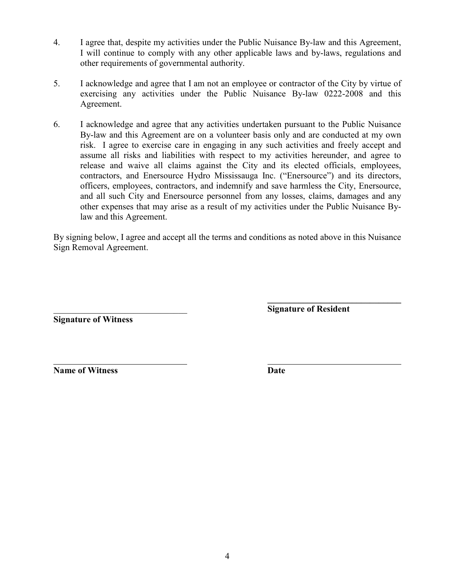- 4. I agree that, despite my activities under the Public Nuisance By-law and this Agreement, I will continue to comply with any other applicable laws and by-laws, regulations and other requirements of governmental authority.
- 5. I acknowledge and agree that I am not an employee or contractor of the City by virtue of exercising any activities under the Public Nuisance By-law 0222-2008 and this Agreement.
- 6. I acknowledge and agree that any activities undertaken pursuant to the Public Nuisance By-law and this Agreement are on a volunteer basis only and are conducted at my own risk. I agree to exercise care in engaging in any such activities and freely accept and assume all risks and liabilities with respect to my activities hereunder, and agree to release and waive all claims against the City and its elected officials, employees, contractors, and Enersource Hydro Mississauga Inc. ("Enersource") and its directors, officers, employees, contractors, and indemnify and save harmless the City, Enersource, and all such City and Enersource personnel from any losses, claims, damages and any other expenses that may arise as a result of my activities under the Public Nuisance Bylaw and this Agreement.

By signing below, I agree and accept all the terms and conditions as noted above in this Nuisance Sign Removal Agreement.

Signature of Witness

 $\mathcal{L}_\text{max} = \frac{1}{2} \sum_{i=1}^n \frac{1}{2} \sum_{i=1}^n \frac{1}{2} \sum_{i=1}^n \frac{1}{2} \sum_{i=1}^n \frac{1}{2} \sum_{i=1}^n \frac{1}{2} \sum_{i=1}^n \frac{1}{2} \sum_{i=1}^n \frac{1}{2} \sum_{i=1}^n \frac{1}{2} \sum_{i=1}^n \frac{1}{2} \sum_{i=1}^n \frac{1}{2} \sum_{i=1}^n \frac{1}{2} \sum_{i=1}^n \frac{1}{2} \sum_{i=1}^n$ Signature of Resident

 $\overline{a}$ Name of Witness Date